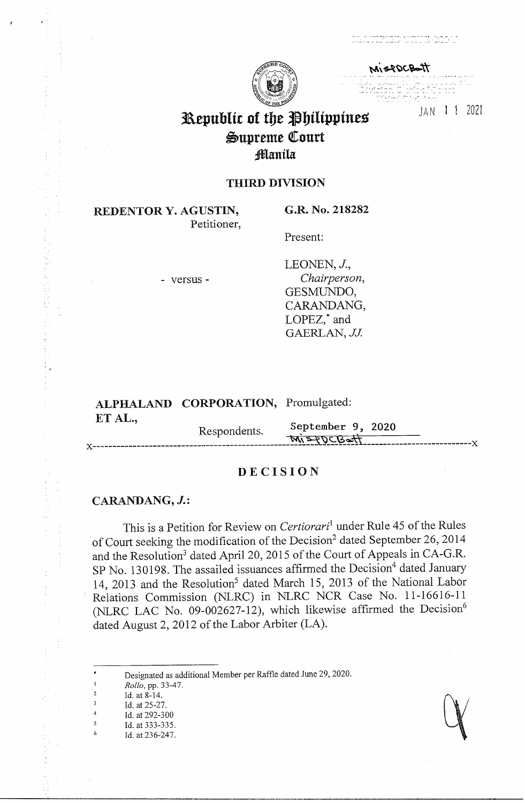richte ann an Dealain



MISPOCBOTT

JAN 1 1 2021

# Republic of the Philippines Supreme Court Manila

## **THIRD DIVISION**

**REDENTOR Y. AGUSTIN,** Petitioner, G.R. No. 218282

Present:

- versus -

LEONEN, J., Chairperson, GESMUNDO, CARANDANG, LOPEZ,\* and GAERLAN, JJ.

# ALPHALAND CORPORATION, Promulgated: ET AL.,

September 9, 2020 Respondents. MISPOCBatt

# **DECISION**

### CARANDANG, J.:

This is a Petition for Review on Certiorari<sup>1</sup> under Rule 45 of the Rules of Court seeking the modification of the Decision<sup>2</sup> dated September 26, 2014 and the Resolution<sup>3</sup> dated April 20, 2015 of the Court of Appeals in CA-G.R. SP No. 130198. The assailed issuances affirmed the Decision<sup>4</sup> dated January 14, 2013 and the Resolution<sup>5</sup> dated March 15, 2013 of the National Labor Relations Commission (NLRC) in NLRC NCR Case No. 11-16616-11 (NLRC LAC No. 09-002627-12), which likewise affirmed the Decision<sup>6</sup> dated August 2, 2012 of the Labor Arbiter (LA).

Designated as additional Member per Raffle dated June 29, 2020.

- Rollo, pp. 33-47. Id. at 8-14. Id. at 25-27.
- Id. at 292-300

 $\mathbf 1$ 

 $\frac{1}{2}$ 

 $\cdot$  3

 $\overline{4}$ 

 $\sqrt{5}$ 

- Id. at 333-335.
	- Id. at 236-247.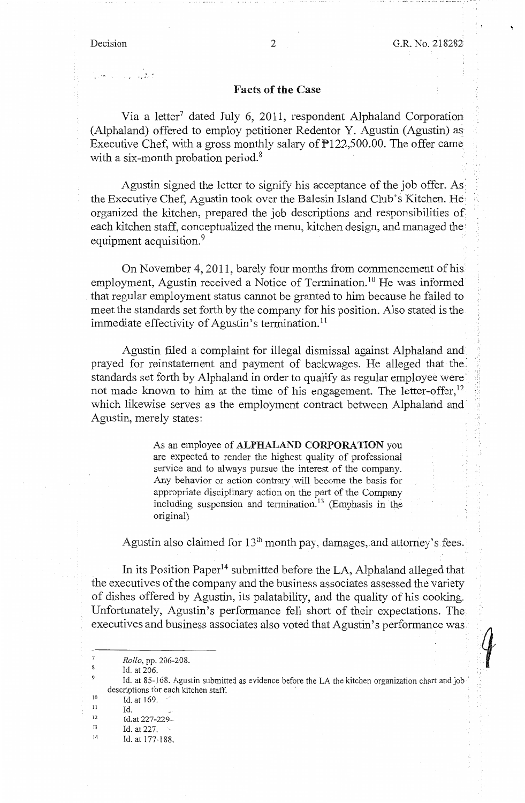$\sim -\sqrt{2}$ 

#### **Facts of the Case**

Via a letter<sup>7</sup> dated July 6, 2011, respondent Alphaland Corporation (Alphaland) offered to employ petitioner Redentor Y. Agustin (Agustin) as Executive Chef, with a gross monthly salary of P122,500.00. The offer came with a six-month probation period.<sup>8</sup>

Agustin signed the letter to signify his acceptance of the job offer. As the Executive Chef, Agustin took over the Balesin Island Club's Kitchen. He·. organized the kitchen, prepared the job descriptions and responsibilities of each kitchen staff, conceptualized the menu, kitchen design, and managed the equipment acquisition.<sup>9</sup>

On November 4, 2011, barely four months from commencement of his employment, Agustin received a Notice of Termination.<sup>10</sup> He was informed that regular employment status cannot be granted to him because he failed to meet the standards set forth by the company for his position. Also stated is the immediate effectivity of Agustin's termination.<sup>11</sup>

Agustin filed a complaint for illegal dismissal against Alphaland and prayed for reinstatement and payment of backwages. He alleged that the standards set forth by Alphaland in order to qualify as regular employee were not made known to him at the time of his engagement. The letter-offer,  $12$ which likewise serves as the employment contract between Alphaland and Agustin, merely states:

> As an employee of **ALPHALAND CORPORATION** you are expected to render the highest quality of professional service and to always pursue the interest of the company. Any behavior or action contrary will become the basis for appropriate disciplinary action on the part of the Company including suspension and termination. 13 (Emphasis in the original)

Agustin also claimed for  $13<sup>th</sup>$  month pay, damages, and attorney's fees.

In its Position Paper<sup>14</sup> submitted before the LA, Alphaland alleged that the executives of the company and the business associates assessed the variety of dishes offered by Agustin, its palatability, and the quality of his cooking. Unfortunately, Agustin's performance fell short of their expectations. The executives and business associates also voted that Agustin's performance was

7 8 9

10 11 Id. at 169.

*Rollo,* pp. 206-208.

Id. at 206.

Id. at 85-168. Agustin submitted as evidence before the LA the kitchen organization chart and job · descriptions for each kitchen staff.

<sup>12</sup>  Id. Id.at 227-229-

<sup>13</sup>  Id. at 227.

<sup>14</sup>  Id. at 177-188.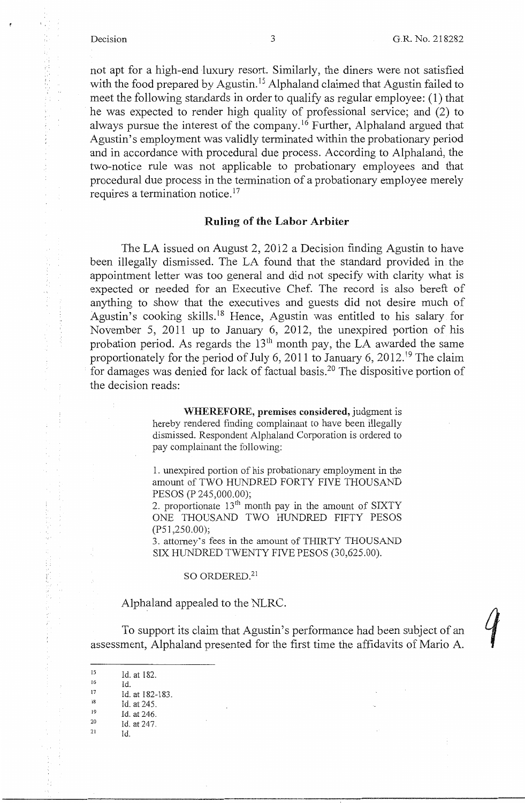(なねた)殺

浮掛け時間 おにあがえ

なんじょうちゃ

 $\frac{1}{t}$ 

not apt for a high-end luxury resort. Similarly, the diners were not satisfied with the food prepared by Agustin.<sup>15</sup> Alphaland claimed that Agustin failed to meet the following standards in order to qualify as regular employee: (I) that he was expected to render high quality of professional service; and (2) to always pursue the interest of the company.<sup>16</sup> Further, Alphaland argued that Agustin's employment was validly terminated within the probationary period and in accordance with procedural due process. According to Alphaland, the two-notice rule was not applicable to probationary employees and that procedural due process in the termination of a probationary employee merely requires a termination notice.<sup>17</sup>

### **Ruling of the Labor Arbiter**

The LA issued on August 2, 2012 a Decision finding Agustin to have been illegally dismissed. The LA found that the standard provided in the appointment letter was too general and did not specify with clarity what is expected or needed for an Executive Chef. The record is also bereft of anything to show that the executives and guests did not desire much of Agustin's cooking skills.<sup>18</sup> Hence, Agustin was entitled to his salary for November 5, 2011 up to January 6, 2012, the unexpired portion of his probation period. As regards the  $13<sup>th</sup>$  month pay, the LA awarded the same proportionately for the period of July 6, 2011 to January 6, 2012.<sup>19</sup> The claim for damages was denied for lack of factual basis.20 The dispositive portion of the decision reads:

> **WHEREFORE, premises considered,** judgment is hereby rendered finding complainant to have been illegally dismissed. Respondent Alphaland Corporation is ordered to pay complainant the following:

> 1. unexpired portion of his probationary employment in the amount of TWO HUNDRED FORTY FIVE THOUSAND PESOS (P 245,000.00);

> 2. proportionate  $13<sup>th</sup>$  month pay in the amount of SIXTY ONE THOUSAND TWO HUNDRED FIFTY PESOS (PS 1,250.00);

> 3. attorney's fees in the amount of THIRTY THOUSAND SIX HUNDRED TWENTY FIVE PESOS (30,625.00).

#### SO ORDERED.<sup>21</sup>

Alphaland appealed to the NLRC.

To support its claim that Agustin's performance had been subject of an assessment, Alphaland presented for the first time the affidavits of Mario A.

 $^{15}$  Id. at 182.  $^{16}$  Id. <sup>17</sup> Id. at 182-183.<br><sup>18</sup> Id. at 245. <sup>19</sup> Id. at 246.<br>
<sup>20</sup> Id. at 247.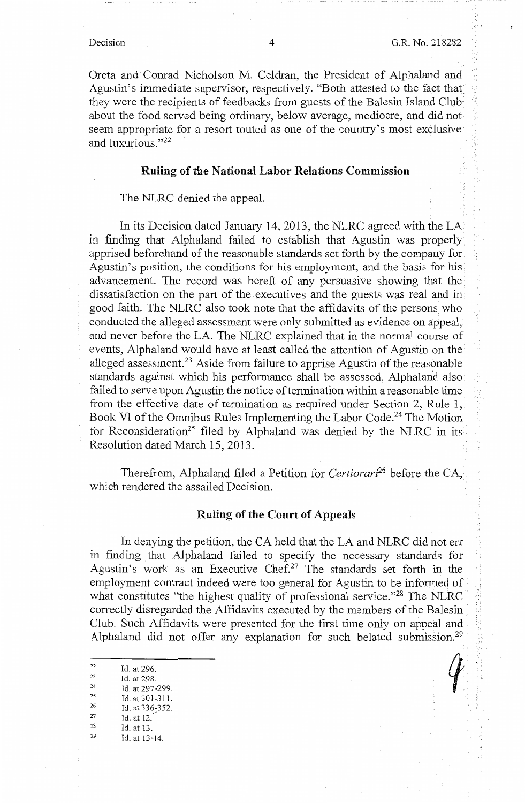Oreta and· Conrad Nicholson M. Celdran, the President of Alphaland and Agustin's immediate supervisor, respectively. "Both attested to the fact that they were the recipients of feedbacks from guests of the Balesin Island Club· about the food served being ordinary, below average, mediocre, and did not seem appropriate for a resort touted as one of the country's most exclusive and luxurious."22

### **Ruling of the National Labor Relations Commission**

#### The NLRC denied the appeal.

In its Decision dated January 14, 2013, the NLRC agreed with the LA in finding that Alphaland failed to establish that Agustin was properly apprised beforehand of the reasonable standards set forth by the company for. Agustin's position, the conditions for his employment, and the basis for his advancement. The record was bereft of any persuasive showing that the dissatisfaction on the part of the executives and the guests was real and in good faith. The NLRC also took note that the affidavits of the persons who conducted the alleged assessment were only submitted as evidence on appeal, and never before the LA. The NLRC explained that in the normal course of events, Alphaland would have at least called the attention of Agustin on the alleged assessment.<sup>23</sup> Aside from failure to apprise Agustin of the reasonable standards against which his performance shall be assessed, Alphaland also failed to serve upon Agustin the notice of termination within a reasonable time from the effective date of termination as required under Section 2, Rule  $1,$ Book VI of the Omnibus Rules Implementing the Labor Code.<sup>24</sup> The Motion. for Reconsideration<sup>25</sup> filed by Alphaland was denied by the NLRC in its Resolution dated March 15, 2013.

Therefrom, Alphaland filed a Petition for *Certiorari*<sup>26</sup> before the CA, which rendered the assailed Decision.

### **Ruling of the Court of Appeals**

In denying the petition, the CA held that the LA and NLRC did not err in finding that Alphaland failed to specify the necessary standards for Agustin's work as an Executive Chef.<sup>27</sup> The standards set forth in the employment contract indeed were too general for Agustin to be informed of what constitutes "the highest quality of professional service."<sup>28</sup> The NLRC correctly disregarded the Affidavits executed by the members of the Balesin Club. Such Affidavits were presented for the first time only on appeal and Alphaland did not offer any explanation for such belated submission.<sup>29</sup>

<sup>22</sup>   $23$ 24 Id. at 296. Id. at 22 Id. at 296.<br>
23 Id. at 298.<br>
24 Id. at 297-299.<br>
25 Id. at 301-311.<br>
26 Id. at 336-352.<br>
27 Id. at 12. \_<br>
28 Id. at 13. 14. 13. 14. 29 Id. at 13:14.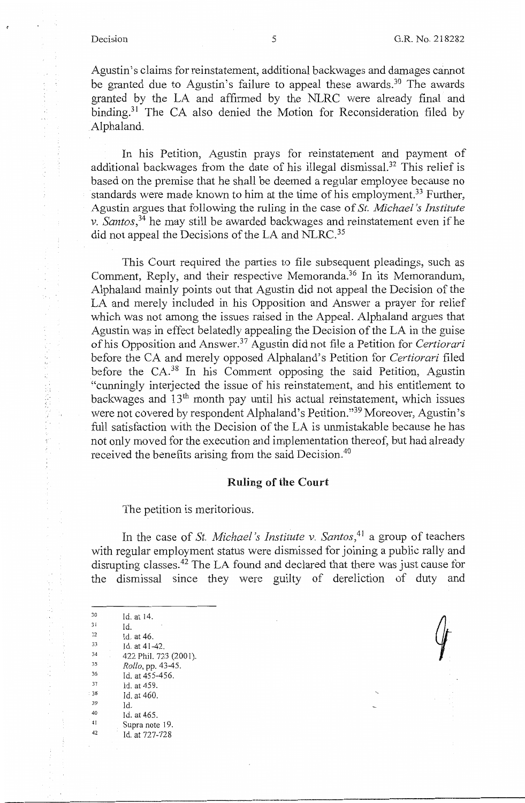ł

中国大学家 解除的

计转动机转换式打印机

 $\mathfrak{f}$  $\frac{1}{2}$ 

Agustin's claims for reinstatement, additional backwages and damages cannot be granted due to Agustin's failure to appeal these awards.<sup>30</sup> The awards granted by the LA and affirmed by the NLRC were already final and binding.<sup>31</sup> The CA also denied the Motion for Reconsideration filed by Alphaland.

In his Petition, Agustin prays for reinstatement and payment of additional backwages from the date of his illegal dismissal.<sup>32</sup> This relief is based on the premise that he shall be deemed a regular employee because no standards were made known to him at the time of his employment.<sup>33</sup> Further, Agustin argues that following the ruling in the case of *St. Michael's Institute v. Santos,* 34 he may still be awarded backwages and reinstatement even if he did not appeal the Decisions of the LA and NLRC.<sup>35</sup>

This Court required the parties to file subsequent pleadings, such as Comment, Reply, and their respective Memoranda.<sup>36</sup> In its Memorandum, Alphaland mainly points out that Agustin did not appeal the Decision of the LA and merely included in his Opposition and Answer a prayer for relief which was not among the issues raised in the Appeal. Alphaland argues that Agustin was in effect belatedly appealing the Decision of the LA in the guise of his Opposition and Answer. 37 Agustin did not file a Petition for *Certiorari*  before the CA and merely opposed Alphaland's Petition for *Certiorari* filed before the CA.<sup>38</sup> In his Comment opposing the said Petition, Agustin "cunningly interjected the issue of his reinstatement, and his entitlement to backwages and 13<sup>th</sup> month pay until his actual reinstatement, which issues were not covered by respondent Alphaland's Petition."39 Moreover, Agustin's full satisfaction with the Decision of the LA is unmistakable because he has not only moved for the execution and implementation thereof, but had already received the benefits arising from the said Decision.<sup>40</sup>

#### **Ruling of the Court**

The petition is meritorious.

In the case of *St. Michael's Institute v. Santos*,<sup>41</sup> a group of teachers with regular employment status were dismissed for joining a public rally and disrupting classes.<sup>42</sup> The LA found and declared that there was just cause for the dismissal since they were guilty of dereliction of duty and

 $30$  Id. at 14. 16. at 14.<br>
31 Id.<br>
33 Id. at 46.<br>
33 Id. at 41-42.<br>
33 *Rollo, pp.* 43-45.<br>
35 *Rollo, pp.* 43-45.<br>
36 Id. at 455-456.<br>
37 Id. at 459. <sup>33</sup> Id. at 460.<br><sup>39</sup> Id.<br><sup>40</sup> Id. at 465.<br><sup>41</sup> Supra note 19.<br>Id. at 727-728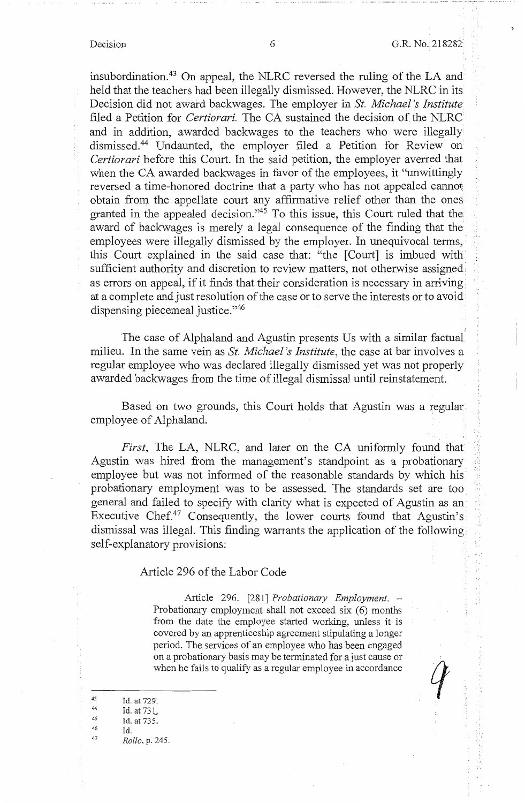insubordination.<sup>43</sup> On appeal, the NLRC reversed the ruling of the LA and held that the teachers had been illegally dismissed. However, the NLRC in its Decision did not award backwages. The employer in *St. Michael's Institute*  filed a Petition for *Certiorari*. The CA sustained the decision of the NLRC and in addition, awarded backwages to the teachers who were illegally dismissed.<sup>44</sup> Undaunted, the employer filed a Petition for Review on *Certiorari* before this Court. In the said petition, the employer averred that when the CA awarded backwages in favor of the employees, it "unwittingly" reversed a time-honored doctrine that a party who has not appealed cannot obtain from the appellate court any affirmative relief other than the ones granted in the appealed decision. "45 To this issue, this Court ruled that the award of backwages is merely a legal consequence of the finding that the employees were illegally dismissed by the employer. In unequivocal terms,· this Court explained in the said case that: "the [Court] is imbued with sufficient authority and discretion to review matters, not otherwise assigned: as errors on appeal, if it finds that their consideration is necessary in arriving at a complete and just resolution of the case or to serve the interests or to avoid dispensing piecemeal justice."46

The case of Alphaland and Agustin presents Us with a similar factual milieu. In the same vein as *St. Michael's Institute,* the case at bar involves a regular employee who was declared illegally dismissed yet was not properly awarded backwages from the time of illegal dismissal until reinstatement.

Based on two grounds, this Court holds that Agustin was a regular: employee of Alphaland.

*First,* The LA, NLRC, and later on the CA uniformly found that Agustin was hired from the management's standpoint as a probationary employee but was not informed of the reasonable standards by which his probationary employment was to be assessed. The standards set are too general and failed to specify with clarity what is expected of Agustin as an· Executive Chef.<sup>47</sup> Consequently, the lower courts found that Agustin's dismissal was illegal. This finding warrants the application of the following self-explanatory provisions:

### Article 296 of the Labor Code

Article 296. [281] *Probationary Employment.* - Probationary employment shall not exceed six (6) months from the date the employee started working, unless it is covered by an apprenticeship agreement stipulating a longer period. The services of an employee who has been engaged on a probationary basis may be terminated for a just cause or when he fails to qualify as a regular employee in accordance

| 43 | Id. at 729.            |
|----|------------------------|
| 44 | Id. at 731.            |
| 45 | Id. at $735$ .         |
| 46 | Id.                    |
| 47 | <i>Rollo</i> , p. 245. |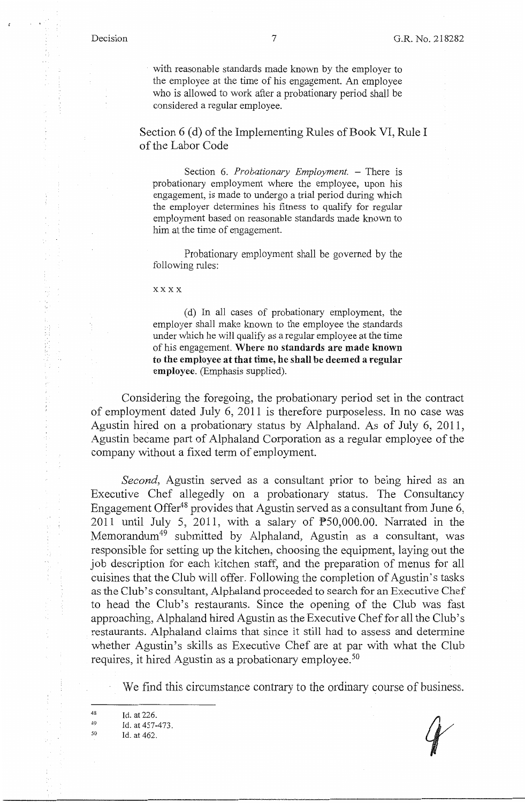化光析剂 经共有控制成本 计划时间

with reasonable standards made known by the employer to the employee at the time of his engagement. An employee who is allowed to work after a probationary period shall be considered a regular employee.

Section 6 (d) of the Implementing Rules of Book VI, Rule I of the Labor Code

Section 6. *Probationary Employment*. – There is probationary employment where the employee, upon his engagement, is made to undergo a trial period during which the employer detennines his fitness to qualify for regular employment based on reasonable standards made known to him at the time of engagement.

Probationary employment shall be governed by the following rules:

xxxx

( d) In all cases of probationary employment, the employer shall make known to the employee the standards under which he will qualify as a regular employee at the time of his engagement. **Where no standards are made known to the employee at that time, he shall be deemed a regular employee.** (Emphasis supplied).

Considering the foregoing, the probationary period set in the contract of employment dated July 6, 2011 is therefore purposeless. In no case was Agustin hired on a probationary status by Alphaland. As of July 6, 2011, Agustin became part of Alphaland Corporation as a regular employee of the company without a fixed term of employment.

*Second,* Agustin served as a consultant prior to being hired as an Executive Chef allegedly on a probationary status. The Consultancy Engagement Offer<sup>48</sup> provides that Agustin served as a consultant from June 6, 2011 until July 5, 2011, with a salary of  $\overline{P}50,000.00$ . Narrated in the Memorandum<sup>49</sup> submitted by Alphaland, Agustin as a consultant, was responsible for setting up the kitchen, choosing the equipment, laying out the job description for each kitchen staff, and the preparation of menus for all cuisines that the Club will offer. Following the completion of Agustin's tasks as the Club's consultant, Alphaland proceeded to search for an Executive Chef to head the Club's restaurants. Since the opening of the Club was fast approaching, Alphaland hired Agustin as the Executive Chef for all the Club's restaurants. Alphaland claims that since it still had to assess and determine whether Agustin's skills as Executive Chef are at par with what the Club requires, it hired Agustin as a probationary employee.<sup>50</sup>

We find this circumstance contrary to the ordinary course of business.

48 Id. at 226.

<sup>49</sup>  *so*  Id. at 457-473.

Id. at 462.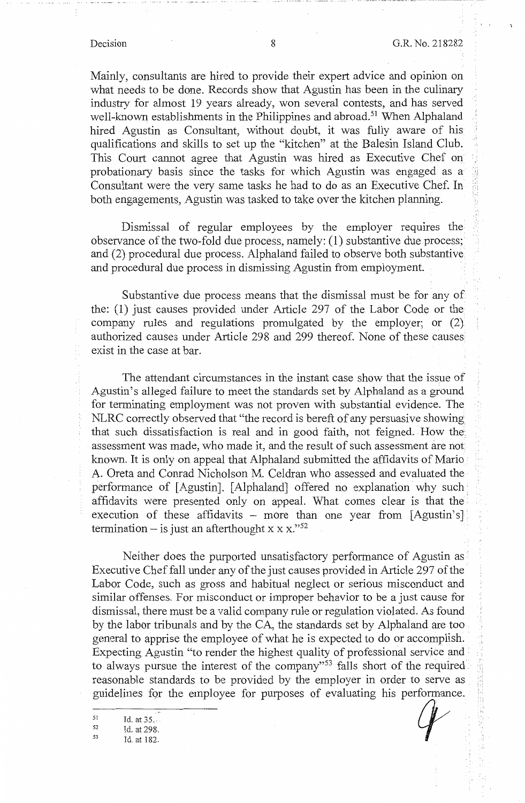Mainly, consultants are hired to provide their expert advice and opinion on what needs to be done. Records show that Agustin has been in the culinary industry for almost 19 years already, won several contests, and has served well-known establishments in the Philippines and abroad.<sup>51</sup> When Alphaland hired Agustin as Consultant, without doubt, it was fully aware of his qualifications and skills to set up the "kitchen" at the Balesin Island Club. This Court cannot agree that Agustin was hired as Executive Chef on probationary basis since the tasks for which Agustin was engaged as a Consultant were the very same tasks he had to do as an Executive Chef. In both engagements, Agustin was tasked to take over the kitchen planning.

Dismissal of regular employees by the employer requires the observance of the two-fold due process, namely: (1) substantive due process; and (2) procedural due process. Alphaland failed to observe both substantive and procedural due process in dismissing Agustin from employment.

Substantive due process means that the dismissal must be for any of the: (1) just causes provided under Article 297 of the Labor Code or the company rules and regulations promulgated by the employer; or (2) authorized causes under Article 298 and 299 thereof. None of these causes exist in the case at bar.

The attendant circumstances in the instant case show that the issue of Agustin's alleged failure to meet the standards set by Alphaland as a ground for terminating employment was not proven with substantial evidence. The NLRC correctly observed that "the record is bereft of any persuasive showing that such dissatisfaction is real and in good faith, not feigned. How the assessment was made, who made it, and the result of such assessment are not known. It is only on appeal that Alphaland submitted the affidavits of Mario A. Oreta and Conrad Nicholson M. Celdran who assessed and evaluated the· performance of [Agustin]. [ Alphaland] offered no explanation why such • affidavits were presented only on appeal. What comes clear is that the execution of these affidavits  $-$  more than one year from [Agustin's] termination – is just an afterthought x x x."<sup>52</sup>

Neither does the purported unsatisfactory performance of Agustin as Executive Chef fall under any of the just causes provided in Article 297 of the Labor Code, such as gross and habitual neglect or serious misconduct and similar offenses. For misconduct or improper behavior to be a just cause for dismissal, there must be a valid company rule or regulation violated. As found by the labor tribunals and by the CA, the standards set by Alphaland are too general to apprise the employee of what he is expected to do or accomplish. Expecting Agustin "to render the highest quality of professional service and to always pursue the interest of the company"<sup>53</sup> falls short of the required reasonable standards to be provided by the employer in order to serve as guidelines for the employee for purposes of evaluating his performance.

<sup>51</sup> Id. at 35...<br>
<sup>52</sup> Id. at 298.<br>
<sup>53</sup> Id. at 182.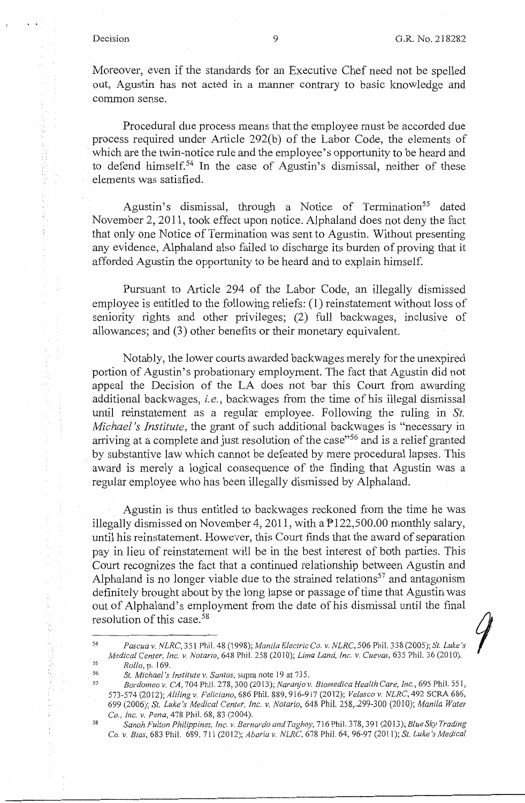9

Moreover, even if the standards for an Executive Chef need not be spelled out, Agustin has not acted in a manner contrary to basic knowledge and common sense.

Procedural due process means that the employee must be accorded due process required under Article 292(b) of the Labor Code, the elements of which are the twin-notice rule and the employee's opportunity to be heard and to defend himself.<sup>54</sup> In the case of Agustin's dismissal, neither of these elements was satisfied.

Agustin's dismissal, through a Notice of Termination<sup>55</sup> dated November 2, 2011, took effect upon notice. Alphaland does not deny the fact that only one Notice of Termination was sent to Agustin. Without presenting any evidence, Alphaland also failed to discharge its burden of proving that it afforded Agustin the opportunity to be heard and to explain himself.

Pursuant to Article 294 of the Labor Code, an illegally dismissed employee is entitled to the following reliefs: (1) reinstatement without loss of seniority rights and other privileges; (2) full backwages, inclusive of allowances; and (3) other benefits or their monetary equivalent.

Notably, the lower courts awarded backwages merely for the unexpired portion of Agustin's probationary employment. The fact that Agustin did not appeal the Decision of the LA does not bar this Court from awarding additional backwages, *i.e.,* backwages from the time of his illegal dismissal until reinstatement as a regular employee. Following the ruling in *St. Michael's Institute,* the grant of such additional backwages is "necessary in arriving at a complete and just resolution of the case"<sup>56</sup> and is a relief granted by substantive law which cannot be defeated by mere procedural lapses. This award is merely a logical consequence of the finding that Agustin was a regular employee who has been illegally dismissed by Alphaland.

Agustin is thus entitled to backwages reckoned from the time he was illegally dismissed on November 4, 2011, with a P122,500.00 monthly salary, until his reinstatement. However, this Court finds that the award of separation pay in lieu of reinstatement will be in the best interest of both parties. This Court recognizes the fact that a continued relationship between Agustin and Alphaland is no longer viable due to the strained relations<sup>57</sup> and antagonism definitely brought about by the long lapse or passage of time that Agustin was out of Alphaland's employment from the date of his dismissal until the final resolution of this case. 58

56

<sup>5.4</sup>  55 *Pascua v. NLRC,* 351 Phil. 48 (J 998); *Manila Electric* Co. *v. NLRC,* 506 Phil. 338 (2005); *St. Luke's Medical Center, Inc. v. Notario,* 648 Phil. 258 (2010); *Lima Land, Inc. v. Cuevas,* 635 Phil. 36 (2010). *Rollo,* p. 169.

*St. Michael's Institute v. Santos,* supra note 19 at 735.

<sup>57</sup>  58 *Bordomeo v. CA,* 704 Phil. 278,300 (2013); *Naranjo v. Biomedica Health Care, Inc.,* 695 Phil. 551, 573-574 (2012); *Aliling v. Feliciano,* 686 Phil. 889, 916-917 (2012); *Velasco v. NLRC,* 492 SCRA 686, 699 (2006); *St. Luke's Medical Center, Inc. v. Notario,* 648 Phil. 258,-299-300 (2010); *Manila Water*  Co., *Inc. v. Pena,* 478 Phil. 68, 83 (2004).

*Sanoh Fulton Philippines, Inc. v. Bernardo andTaghoy,* 716 Phil. 378, 391 (2013); *Blue Sky Trading*  Co. *v. Bias,* 683 Phil. 689, 711 (2012); *Abaria v. NLRC,* 678 Phil. 64, 96-97 (2011); *St. Luke's Medical*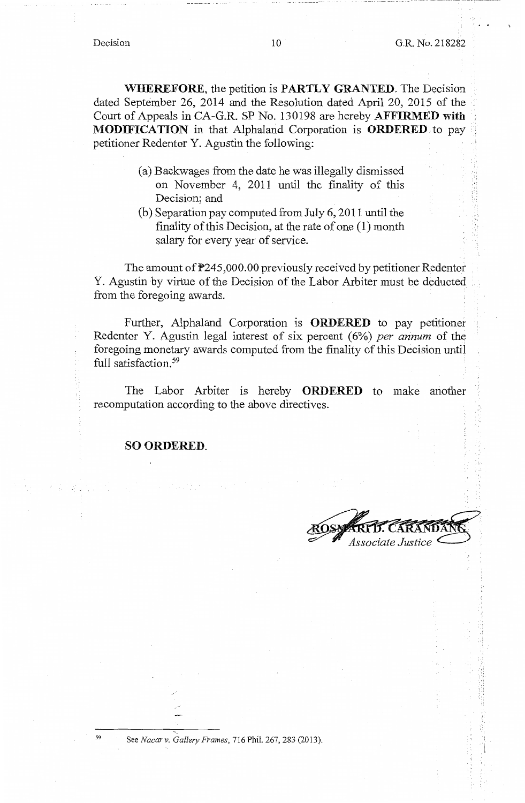-- - - -- ·-··· - --··-··-----·· \_\_\_\_ 1 -·-- ----····-··-·· ••

**WHEREFORE,** the petition is **PARTLY GRANTED.** The Decision dated September 26, 2014 and the Resolution dated April 20, 2015 of the Court of Appeals in CA-G.R. SP No. 130198 are hereby **AFFIRMED with MODIFICATION** in that Alphaland Corporation is **ORDERED** to pay petitioner Redentor Y. Agustin the following:

- (a) Backwages from the date he was illegally dismissed on November 4, 2011 until the finality of this Decision; and
- (b) Separation pay computed from July 6, 2011 until the finality of this Decision, at the rate of one (1) month salary for every year of service.

The amount of P245,000.00 previously received by petitioner Redentor Y. Agustin by virtue of the Decision of the Labor Arbiter must be deducted from the foregoing awards.

Further, Alphaland Corporation is **ORDERED** to pay petitioner Redentor Y. Agustin legal interest of six percent (6%) *per annum* of the foregoing monetary awards computed from the finality of this Decision until full satisfaction.<sup>59</sup>

The Labor Arbiter is hereby **ORDERED** to make another recomputation according to the above directives.

**SO ORDERED.** 

ssociate Justice

'I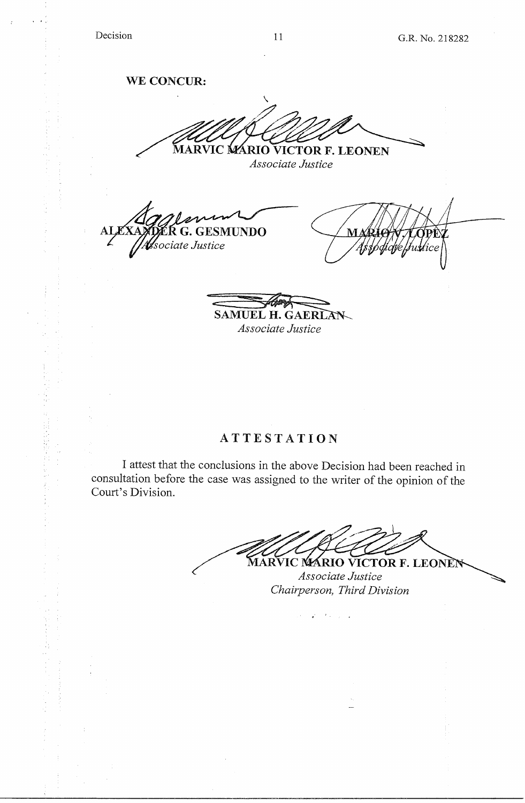**WE CONCUR:** 

 $\checkmark$ MARVIC MARIO VICTOR F. LEONEN

*Associate Justice* 

**GESMUNDO** sociate Justice

SAMUEL H. GAERLAN *Associate Justice* 

# **ATTESTATION**

I attest that the conclusions in the above Decision had been reached in consultation before the case was assigned to the writer of the opinion of the Court's Division.

الأراب والأراني والمحار

MARVIC MARIO VICTOR F. LEONEN *Associate Justice Chairperson, Third Division*